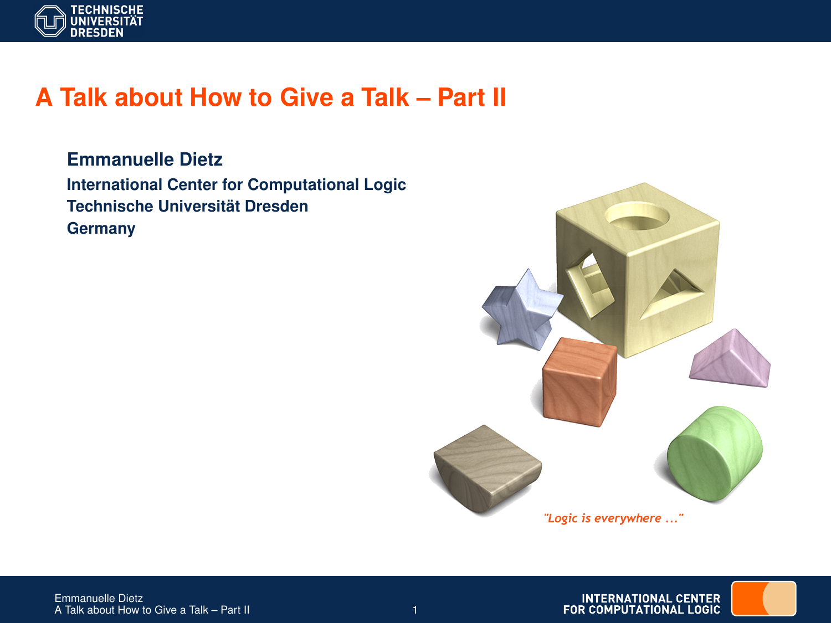

# **A Talk about How to Give a Talk – Part II**

**Emmanuelle Dietz International Center for Computational Logic Technische Universität Dresden Germany**

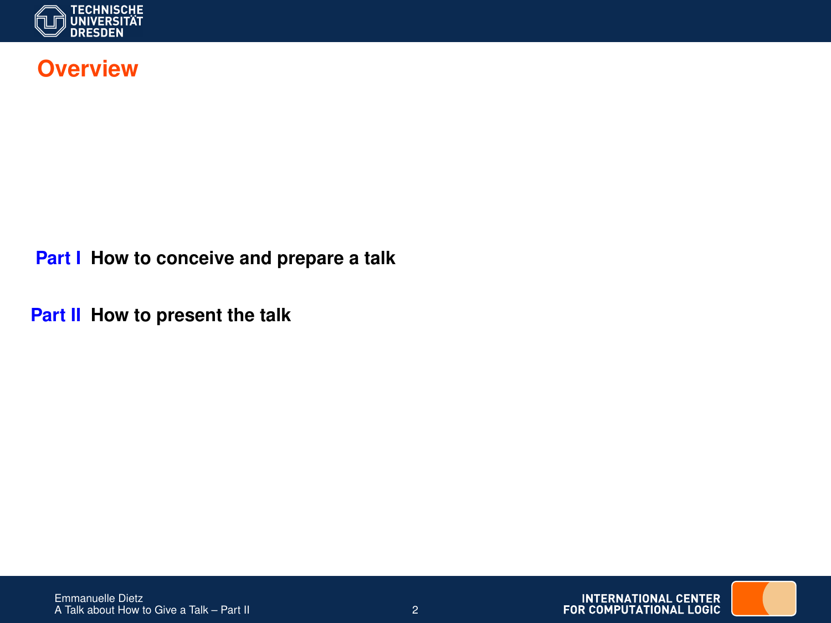

### **Overview**

**Part I How to conceive and prepare a talk**

**Part II How to present the talk**

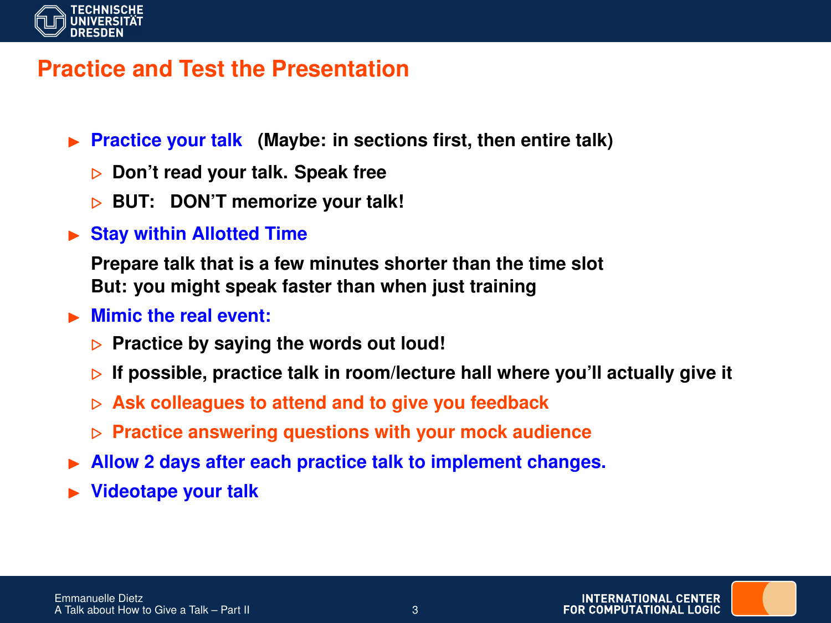

### **Practice and Test the Presentation**

- ▶ **Practice your talk** (Maybe: in sections first, then entire talk)
	- . **Don't read your talk. Speak free**
	- **BUT: DON'T memorize your talk!**
- **In Stay within Allotted Time**

**Prepare talk that is a few minutes shorter than the time slot But: you might speak faster than when just training**

#### **In Mimic the real event:**

- **Practice by saying the words out loud!**
- $\triangleright$  If possible, practice talk in room/lecture hall where you'll actually give it
- . **Ask colleagues to attend and to give you feedback**
- . **Practice answering questions with your mock audience**
- I **Allow 2 days after each practice talk to implement changes.**
- I **Videotape your talk**

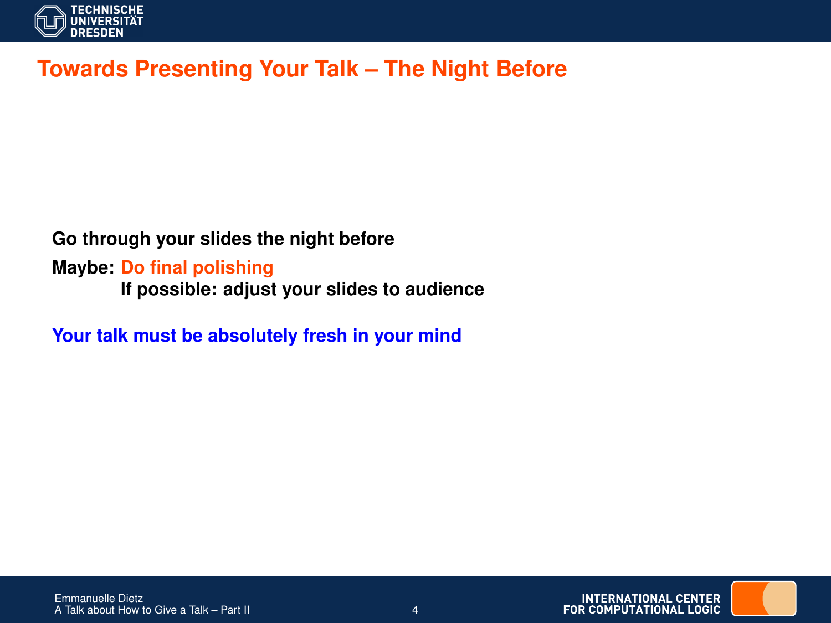

# **Towards Presenting Your Talk – The Night Before**

#### **Go through your slides the night before**

**Maybe: Do final polishing If possible: adjust your slides to audience**

**Your talk must be absolutely fresh in your mind**

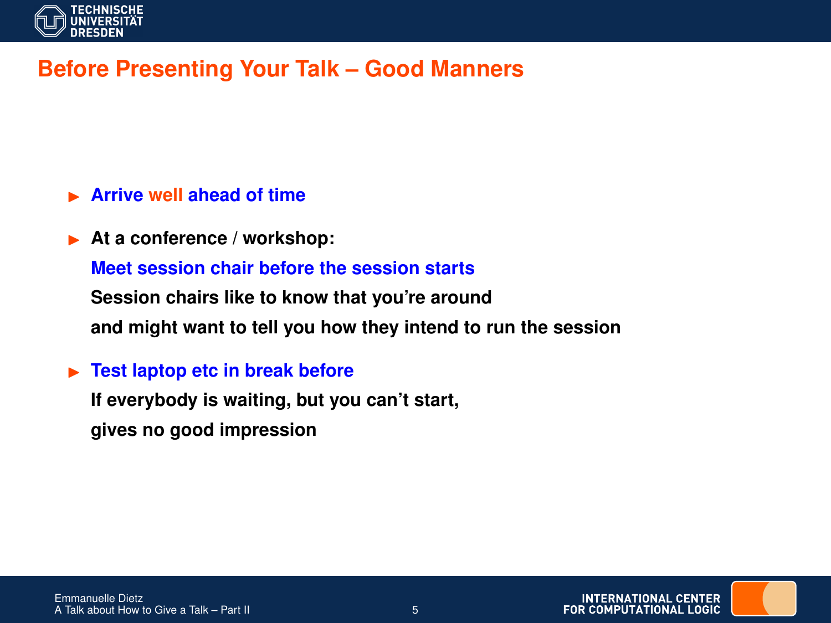

# **Before Presenting Your Talk – Good Manners**

#### I **Arrive well ahead of time**

At a conference / workshop:

**Meet session chair before the session starts**

**Session chairs like to know that you're around and might want to tell you how they intend to run the session**

#### **Fest laptop etc in break before**

**If everybody is waiting, but you can't start, gives no good impression**

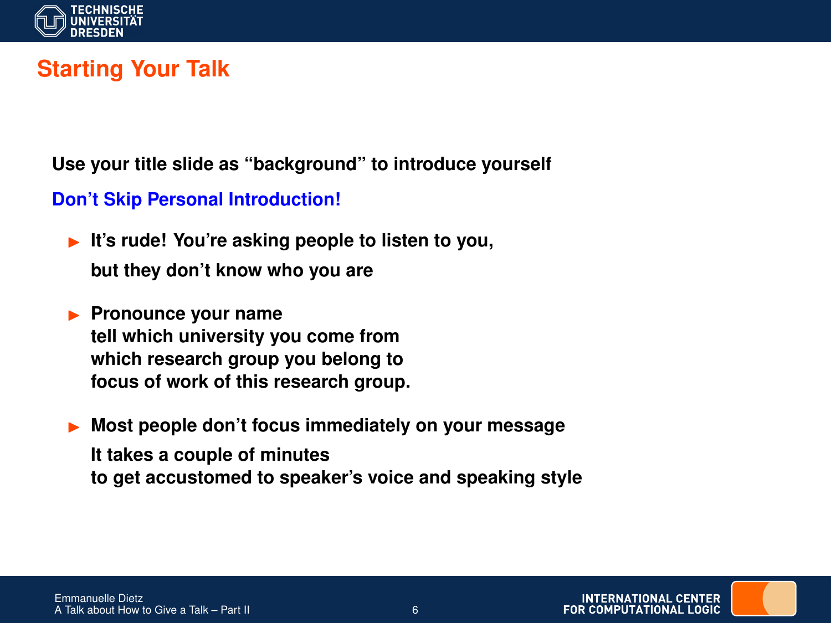

# **Starting Your Talk**

**Use your title slide as "background" to introduce yourself**

#### **Don't Skip Personal Introduction!**

- ► It's rude! You're asking people to listen to you, **but they don't know who you are**
- **Pronounce your name tell which university you come from which research group you belong to focus of work of this research group.**

Most people don't focus immediately on your message **It takes a couple of minutes to get accustomed to speaker's voice and speaking style**

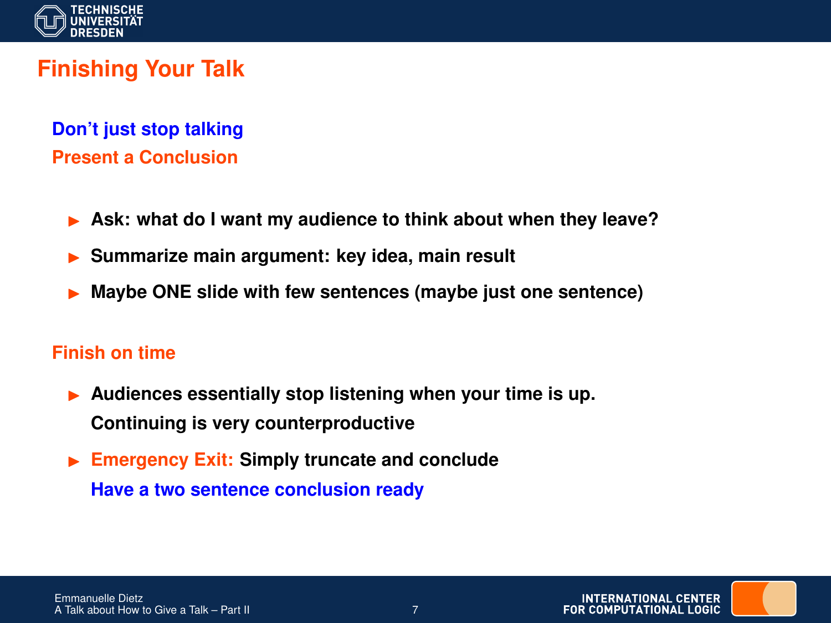

# **Finishing Your Talk**

**Don't just stop talking Present a Conclusion**

- Ask: what do I want my audience to think about when they leave?
- I **Summarize main argument: key idea, main result**
- I **Maybe ONE slide with few sentences (maybe just one sentence)**

#### **Finish on time**

- Audiences essentially stop listening when your time is up. **Continuing is very counterproductive**
- **Emergency Exit: Simply truncate and conclude Have a two sentence conclusion ready**

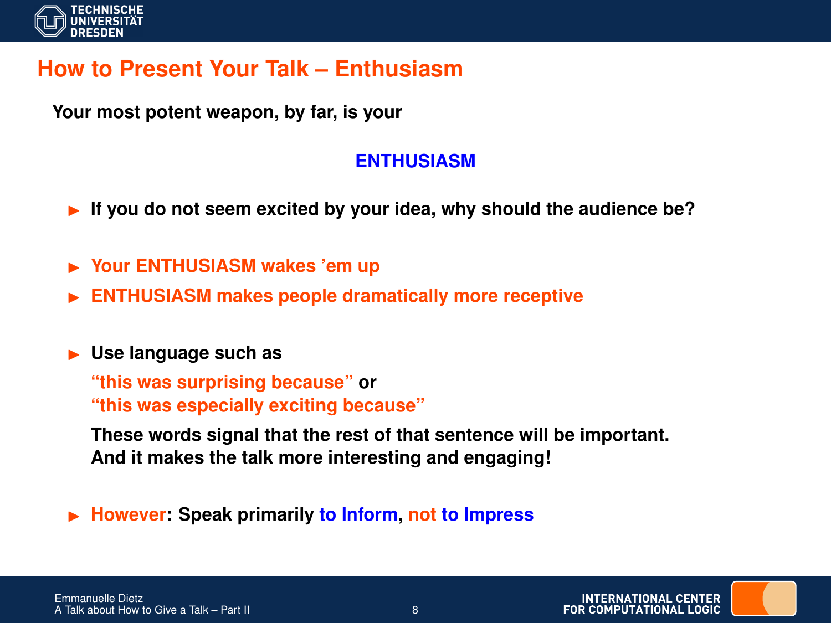

# **How to Present Your Talk – Enthusiasm**

**Your most potent weapon, by far, is your**

### **ENTHUSIASM**

- If you do not seem excited by your idea, why should the audience be?
- ▶ Your ENTHUSIASM wakes 'em up
- **ENTHUSIASM makes people dramatically more receptive**

### **In Use language such as**

**"this was surprising because" or "this was especially exciting because"**

**These words signal that the rest of that sentence will be important. And it makes the talk more interesting and engaging!**

I **However: Speak primarily to Inform, not to Impress**

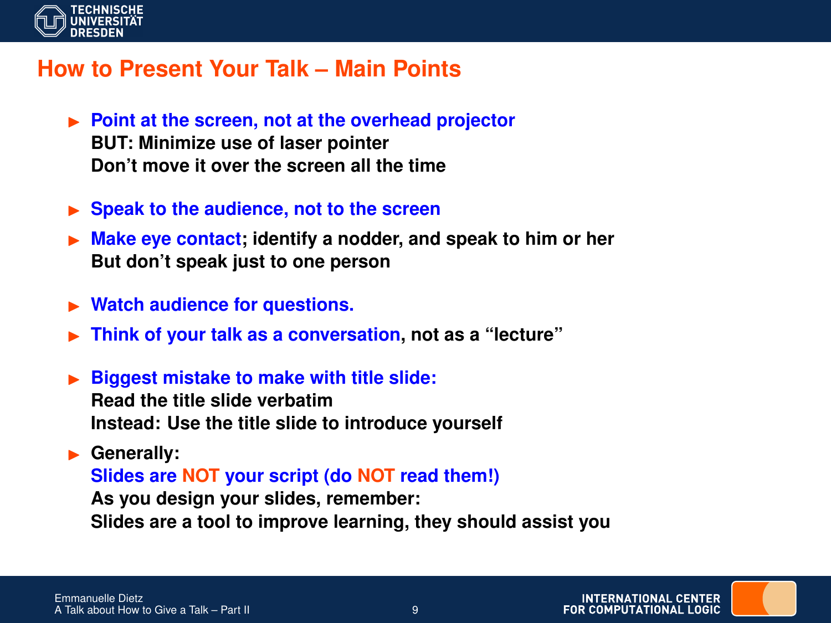

### **How to Present Your Talk – Main Points**

- ▶ Point at the screen, not at the overhead projector **BUT: Minimize use of laser pointer Don't move it over the screen all the time**
- ► Speak to the audience, not to the screen
- **IN Make eye contact; identify a nodder, and speak to him or her But don't speak just to one person**
- ▶ Watch audience for questions.
- I **Think of your talk as a conversation, not as a "lecture"**
- **Biggest mistake to make with title slide: Read the title slide verbatim Instead: Use the title slide to introduce yourself**
- Generally: **Slides are NOT your script (do NOT read them!) As you design your slides, remember: Slides are a tool to improve learning, they should assist you**

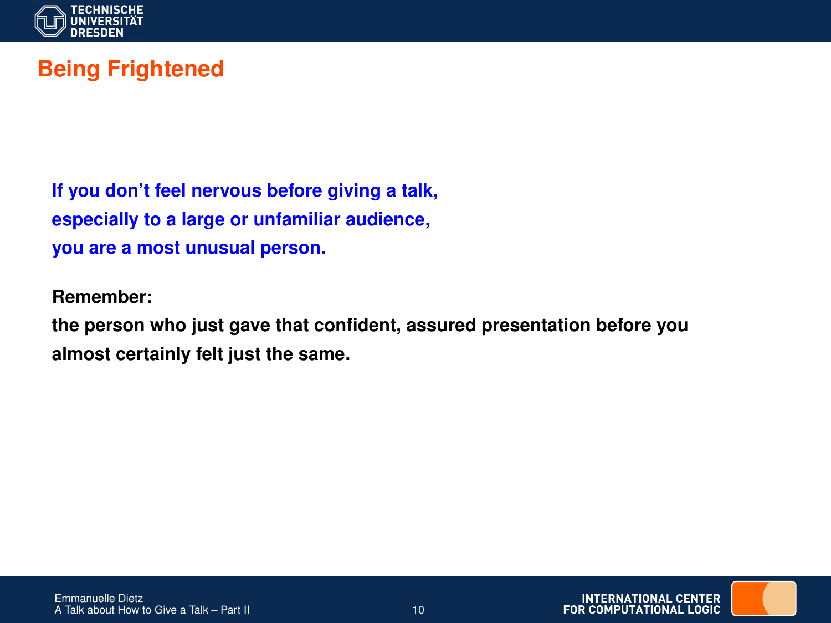

# **Being Frightened**

**If you don't feel nervous before giving a talk, especially to a large or unfamiliar audience, you are a most unusual person.**

**Remember:**

**the person who just gave that confident, assured presentation before you almost certainly felt just the same.**

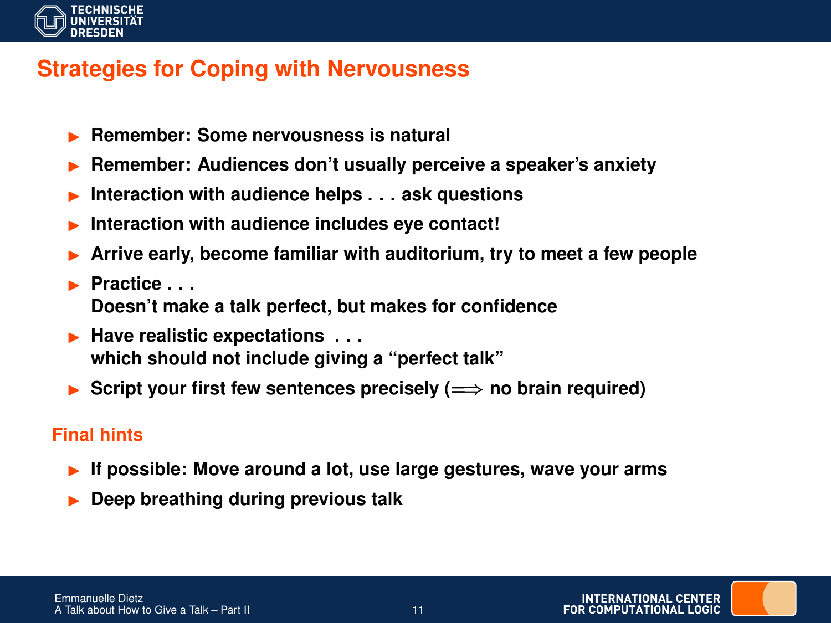

### **Strategies for Coping with Nervousness**

- I **Remember: Some nervousness is natural**
- I **Remember: Audiences don't usually perceive a speaker's anxiety**
- Interaction with audience helps . . . ask questions
- Interaction with audience includes eye contact!
- Arrive early, become familiar with auditorium, try to meet a few people
- I **Practice . . . Doesn't make a talk perfect, but makes for confidence**
- **Have realistic expectations ... which should not include giving a "perfect talk"**
- **► Script your first few sentences precisely (** $\implies$  **no brain required)**

### **Final hints**

- If possible: Move around a lot, use large gestures, wave your arms
- I **Deep breathing during previous talk**

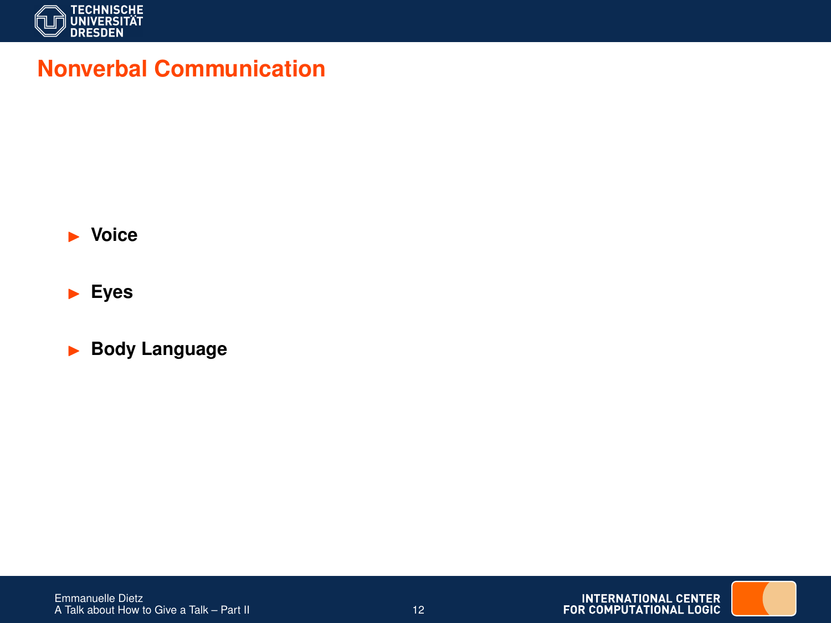

### **Nonverbal Communication**



I **Eyes**

**Body Language** 

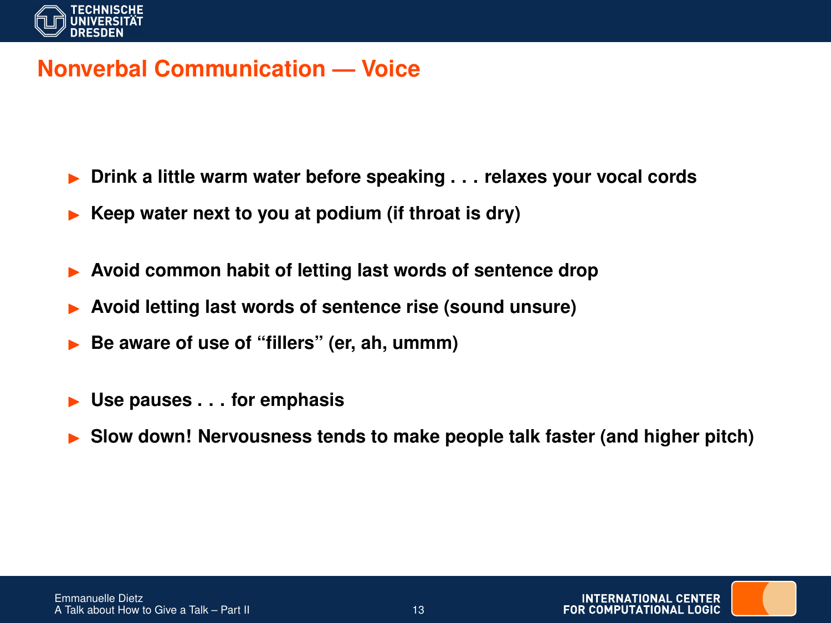

### **Nonverbal Communication — Voice**

- I **Drink a little warm water before speaking . . . relaxes your vocal cords**
- I **Keep water next to you at podium (if throat is dry)**
- Avoid common habit of letting last words of sentence drop
- I **Avoid letting last words of sentence rise (sound unsure)**
- I **Be aware of use of "fillers" (er, ah, ummm)**
- I **Use pauses . . . for emphasis**
- I **Slow down! Nervousness tends to make people talk faster (and higher pitch)**

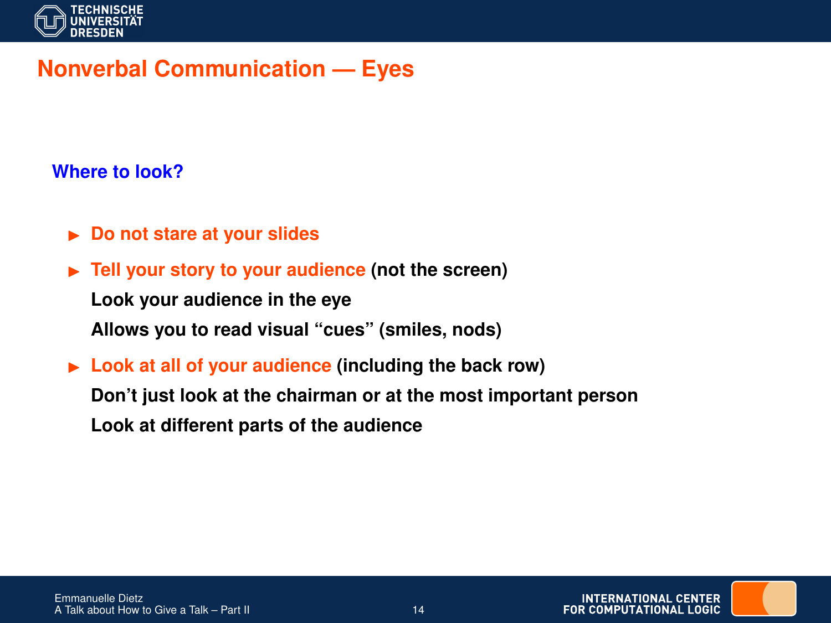

# **Nonverbal Communication — Eyes**

#### **Where to look?**

- **Do not stare at your slides**
- ▶ Tell your story to your audience (not the screen)

**Look your audience in the eye**

**Allows you to read visual "cues" (smiles, nods)**

► Look at all of your audience (including the back row) **Don't just look at the chairman or at the most important person Look at different parts of the audience**

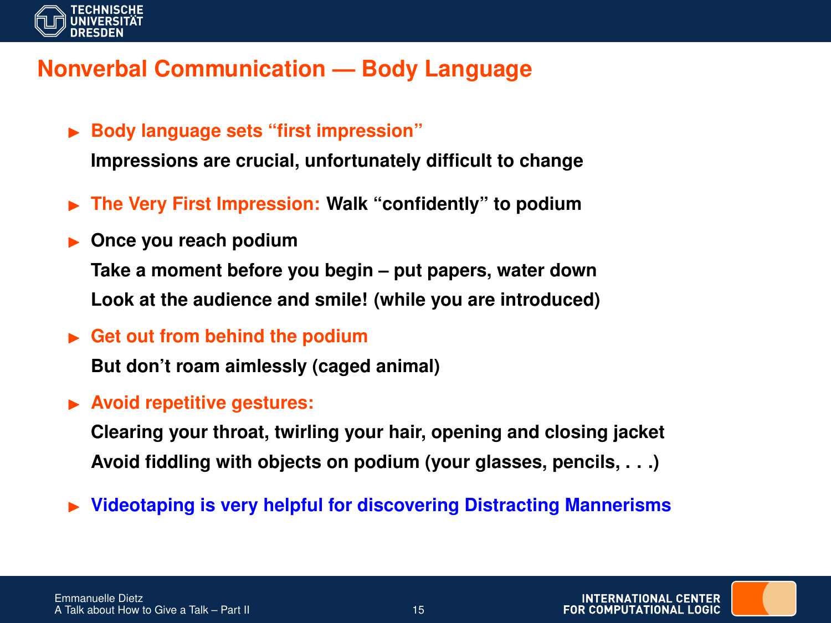

# **Nonverbal Communication — Body Language**

**Body language sets "first impression"** 

**Impressions are crucial, unfortunately difficult to change**

- ▶ The Very First Impression: Walk "confidently" to podium
- **Discussion Discussion Take a moment before you begin – put papers, water down Look at the audience and smile! (while you are introduced)**
- ► Get out from behind the podium

**But don't roam aimlessly (caged animal)**

**EXECUTE:** Avoid repetitive gestures:

**Clearing your throat, twirling your hair, opening and closing jacket Avoid fiddling with objects on podium (your glasses, pencils, . . .)**

▶ Videotaping is very helpful for discovering Distracting Mannerisms

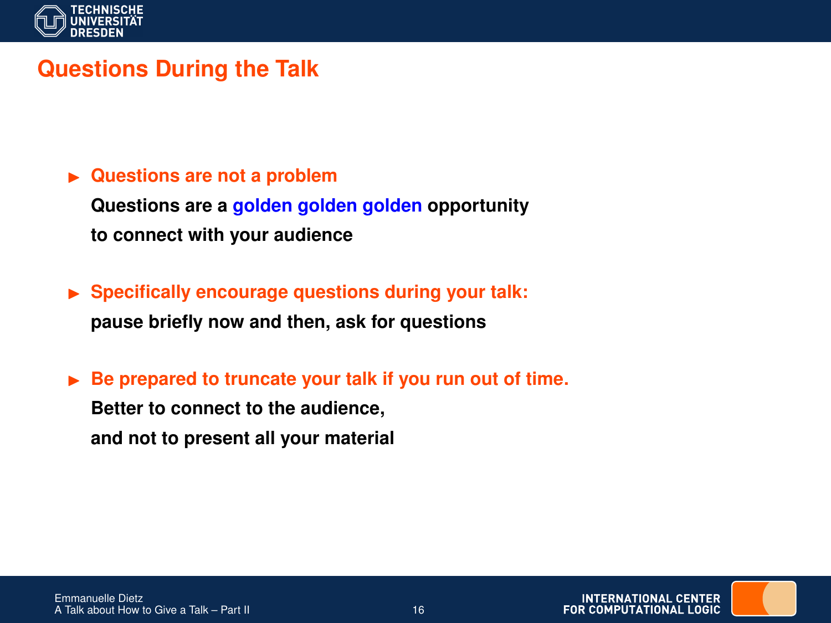

# **Questions During the Talk**

# ▶ Questions are not a problem **Questions are a golden golden golden opportunity to connect with your audience**

- $\triangleright$  Specifically encourage questions during your talk: **pause briefly now and then, ask for questions**
- ► Be prepared to truncate your talk if you run out of time.

**Better to connect to the audience, and not to present all your material**

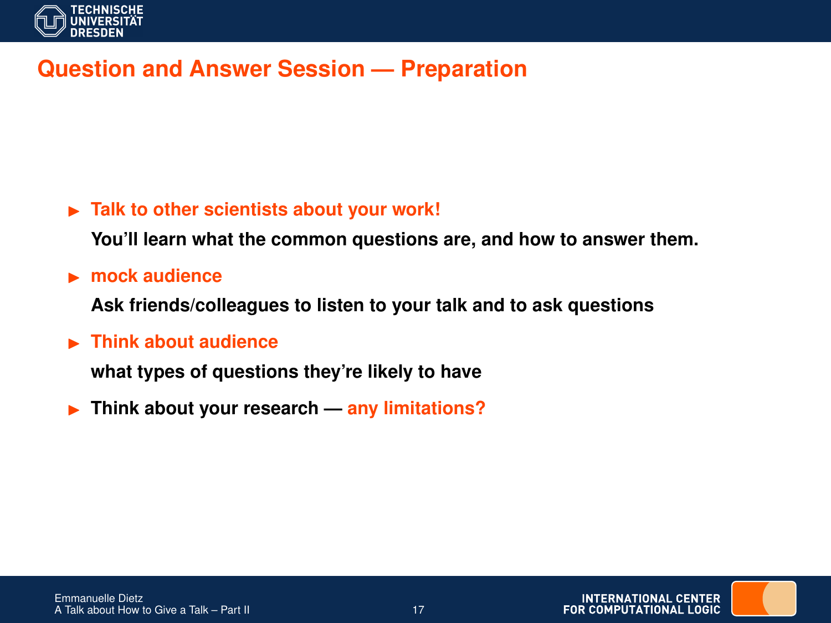

# **Question and Answer Session — Preparation**

### ▶ Talk to other scientists about your work!

**You'll learn what the common questions are, and how to answer them.**

**E** mock audience

**Ask friends/colleagues to listen to your talk and to ask questions**

**Example 12 Think about audience** 

**what types of questions they're likely to have**

**Fig. 3** Think about your research — any limitations?

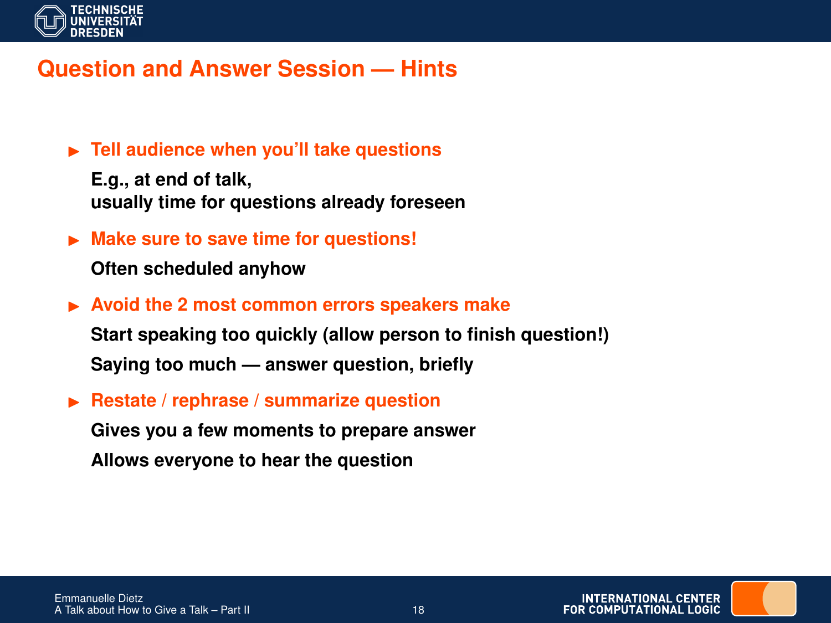

### **Question and Answer Session — Hints**

▶ Tell audience when you'll take questions

**E.g., at end of talk, usually time for questions already foreseen**

 $\blacktriangleright$  Make sure to save time for questions!

**Often scheduled anyhow**

► Avoid the 2 most common errors speakers make

**Start speaking too quickly (allow person to finish question!) Saying too much — answer question, briefly**

▶ Restate / rephrase / summarize question

**Gives you a few moments to prepare answer**

**Allows everyone to hear the question**

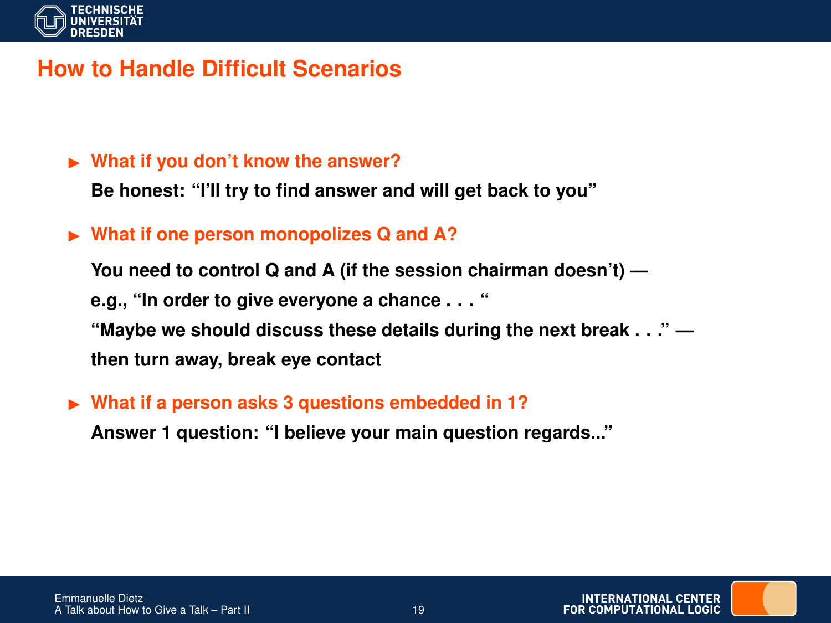

### **How to Handle Difficult Scenarios**

#### ▶ What if you don't know the answer?

**Be honest: "I'll try to find answer and will get back to you"**

### ► What if one person monopolizes Q and A?

**You need to control Q and A (if the session chairman doesn't) e.g., "In order to give everyone a chance . . . " "Maybe we should discuss these details during the next break . . ." then turn away, break eye contact**

#### ► What if a person asks 3 questions embedded in 1?

**Answer 1 question: "I believe your main question regards..."**

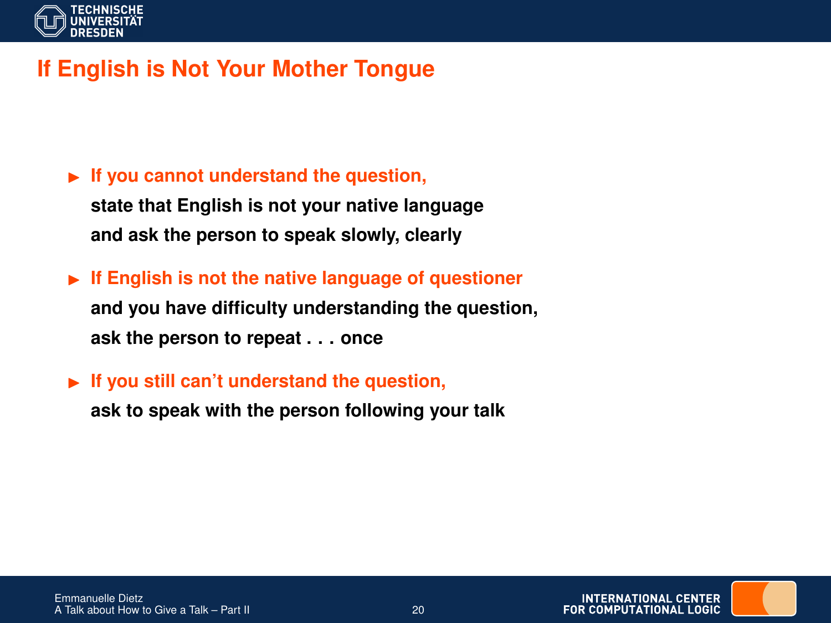

# **If English is Not Your Mother Tongue**

► If you cannot understand the question, **state that English is not your native language and ask the person to speak slowly, clearly**

**If English is not the native language of questioner and you have difficulty understanding the question, ask the person to repeat . . . once**

► If you still can't understand the question,

**ask to speak with the person following your talk**